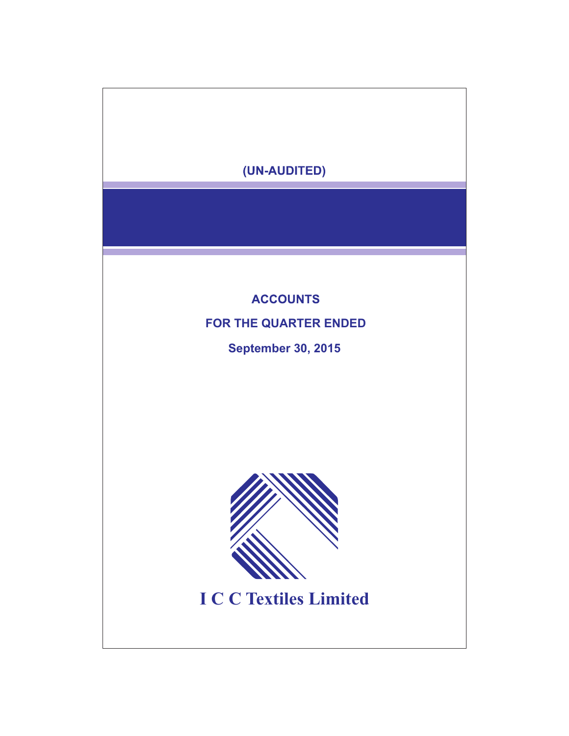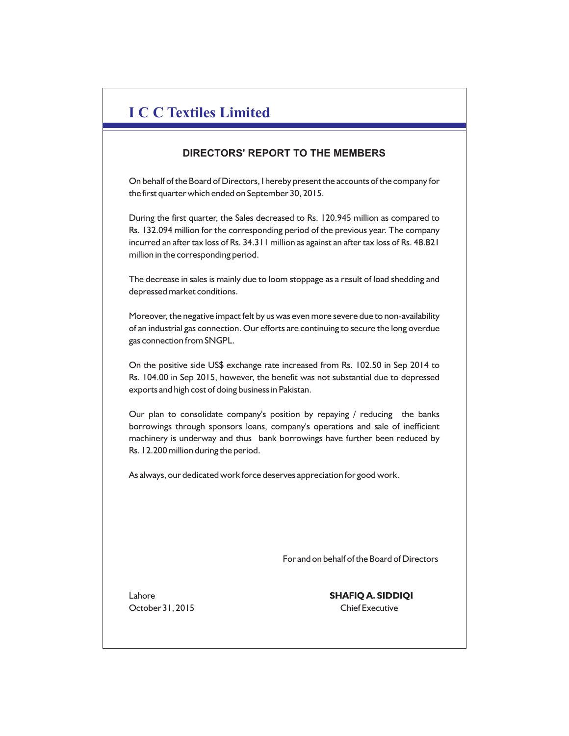# **I C C Textiles Limited**

# **DIRECTORS' REPORT TO THE MEMBERS**

On behalf of the Board of Directors, I hereby present the accounts of the company for the first quarter which ended on September 30, 2015.

During the first quarter, the Sales decreased to Rs. 120.945 million as compared to Rs. 132.094 million for the corresponding period of the previous year. The company incurred an after tax loss of Rs. 34.311 million as against an after tax loss of Rs. 48.821 million in the corresponding period.

The decrease in sales is mainly due to loom stoppage as a result of load shedding and depressed market conditions.

Moreover, the negative impact felt by us was even more severe due to non-availability of an industrial gas connection. Our efforts are continuing to secure the long overdue gas connection from SNGPL.

On the positive side US\$ exchange rate increased from Rs. 102.50 in Sep 2014 to Rs. 104.00 in Sep 2015, however, the benefit was not substantial due to depressed exports and high cost of doing business in Pakistan.

Our plan to consolidate company's position by repaying / reducing the banks borrowings through sponsors loans, company's operations and sale of inefficient machinery is underway and thus bank borrowings have further been reduced by Rs. 12.200 million during the period.

As always, our dedicated work force deserves appreciation for good work.

For and on behalf of the Board of Directors

Lahore **SHAFIQ A. SIDDIQI** October 31, 2015 Chief Executive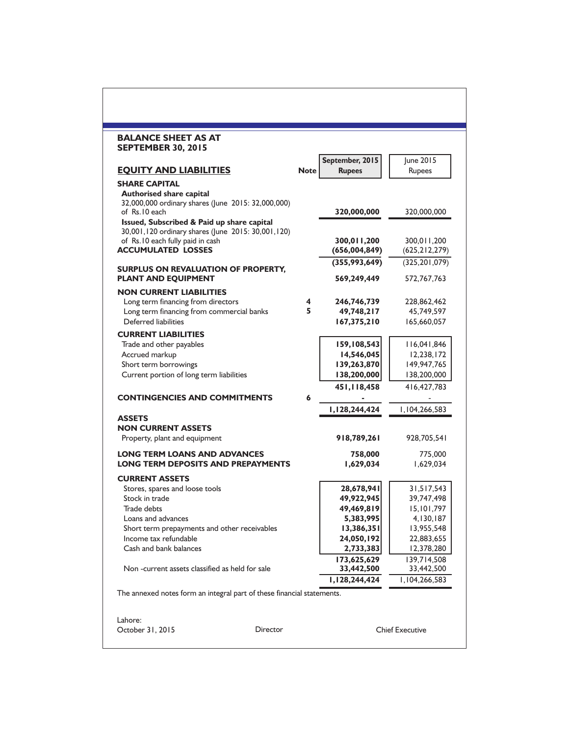| <b>BALANCE SHEET AS AT</b><br><b>SEPTEMBER 30, 2015</b>                |             |                                  |                        |
|------------------------------------------------------------------------|-------------|----------------------------------|------------------------|
| <b>EQUITY AND LIABILITIES</b>                                          | <b>Note</b> | September, 2015<br><b>Rupees</b> | June 2015<br>Rupees    |
| <b>SHARE CAPITAL</b>                                                   |             |                                  |                        |
| <b>Authorised share capital</b>                                        |             |                                  |                        |
| 32,000,000 ordinary shares (June 2015: 32,000,000)                     |             |                                  |                        |
| of Rs.10 each                                                          |             | 320,000,000                      | 320,000,000            |
| Issued, Subscribed & Paid up share capital                             |             |                                  |                        |
| 30,001,120 ordinary shares (June 2015: 30,001,120)                     |             | 300.011.200                      | 300,011,200            |
| of Rs.10 each fully paid in cash<br><b>ACCUMULATED LOSSES</b>          |             | (656,004,849)                    | (625, 212, 279)        |
|                                                                        |             |                                  |                        |
| <b>SURPLUS ON REVALUATION OF PROPERTY,</b>                             |             | (355,993,649)                    | (325, 201, 079)        |
| <b>PLANT AND EQUIPMENT</b>                                             |             | 569,249,449                      | 572,767,763            |
| <b>NON CURRENT LIABILITIES</b>                                         |             |                                  |                        |
| Long term financing from directors                                     | 4           | 246,746,739                      | 228,862,462            |
| Long term financing from commercial banks                              | 5.          | 49,748,217                       | 45,749,597             |
| Deferred liabilities                                                   |             | 167,375,210                      | 165,660,057            |
| <b>CURRENT LIABILITIES</b>                                             |             |                                  |                        |
| Trade and other payables                                               |             | 159,108,543                      | 116,041,846            |
| Accrued markup                                                         |             | 14,546,045                       | 12,238,172             |
| Short term borrowings                                                  |             | 139,263,870                      | 149,947,765            |
| Current portion of long term liabilities                               |             | 138,200,000                      | 138,200,000            |
|                                                                        |             |                                  |                        |
| <b>CONTINGENCIES AND COMMITMENTS</b>                                   | 6           | 451,118,458                      | 416, 427, 783          |
|                                                                        |             |                                  |                        |
| <b>ASSETS</b>                                                          |             | 1,128,244,424                    | 1,104,266,583          |
| <b>NON CURRENT ASSETS</b>                                              |             |                                  |                        |
| Property, plant and equipment                                          |             | 918,789,261                      | 928,705,541            |
|                                                                        |             |                                  |                        |
| <b>LONG TERM LOANS AND ADVANCES</b>                                    |             | 758,000                          | 775,000                |
| <b>LONG TERM DEPOSITS AND PREPAYMENTS</b>                              |             | 1,629,034                        | 1,629,034              |
| <b>CURRENT ASSETS</b>                                                  |             |                                  |                        |
| Stores, spares and loose tools                                         |             | 28,678,941                       | 31,517,543             |
| Stock in trade                                                         |             | 49,922,945                       | 39,747,498             |
| Trade debts                                                            |             | 49,469,819                       | 15,101,797             |
| Loans and advances                                                     |             | 5,383,995                        | 4,130,187              |
| Short term prepayments and other receivables                           |             | 13,386,351                       | 13,955,548             |
| Income tax refundable                                                  |             | 24,050,192                       | 22,883,655             |
| Cash and bank balances                                                 |             | 2,733,383                        | 12,378,280             |
|                                                                        |             | 173,625,629                      | 139,714,508            |
| Non-current assets classified as held for sale                         |             | 33,442,500                       | 33,442,500             |
| The annexed notes form an integral part of these financial statements. |             | 1,128,244,424                    | 1,104,266,583          |
|                                                                        |             |                                  |                        |
| Lahore:                                                                |             |                                  |                        |
| October 31, 2015<br>Director                                           |             |                                  | <b>Chief Executive</b> |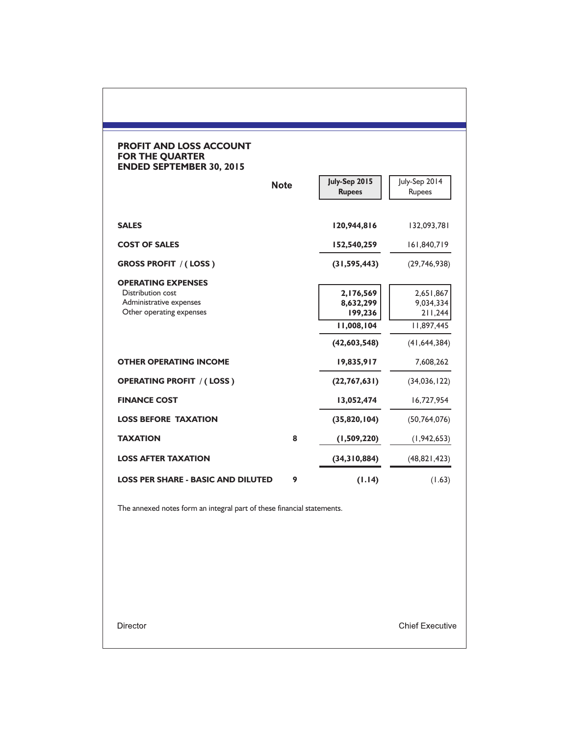### **PROFIT AND LOSS ACCOUNT FOR THE QUARTER ENDED SEPTEMBER 30, 2015**

|                                                                                                       | <b>Note</b> | July-Sep 2015<br><b>Rupees</b>                                  | July-Sep 2014<br>Rupees                                           |
|-------------------------------------------------------------------------------------------------------|-------------|-----------------------------------------------------------------|-------------------------------------------------------------------|
| <b>SALES</b>                                                                                          |             | 120,944,816                                                     | 132,093,781                                                       |
| <b>COST OF SALES</b>                                                                                  |             | 152,540,259                                                     | 161,840,719                                                       |
| <b>GROSS PROFIT / (LOSS)</b>                                                                          |             | (31, 595, 443)                                                  | (29,746,938)                                                      |
| <b>OPERATING EXPENSES</b><br>Distribution cost<br>Administrative expenses<br>Other operating expenses |             | 2,176,569<br>8,632,299<br>199,236<br>11,008,104<br>(42,603,548) | 2,651,867<br>9,034,334<br>211,244<br>11,897,445<br>(41, 644, 384) |
| <b>OTHER OPERATING INCOME</b>                                                                         |             | 19,835,917                                                      | 7,608,262                                                         |
| <b>OPERATING PROFIT / (LOSS)</b>                                                                      |             | (22, 767, 631)                                                  | (34,036,122)                                                      |
| <b>FINANCE COST</b>                                                                                   |             | 13,052,474                                                      | 16,727,954                                                        |
| <b>LOSS BEFORE TAXATION</b>                                                                           |             | (35,820,104)                                                    | (50, 764, 076)                                                    |
| <b>TAXATION</b>                                                                                       | 8           | (1,509,220)                                                     | (1, 942, 653)                                                     |
| <b>LOSS AFTER TAXATION</b>                                                                            |             | (34,310,884)                                                    | (48,821,423)                                                      |
| <b>LOSS PER SHARE - BASIC AND DILUTED</b>                                                             | 9           | (1.14)                                                          | (1.63)                                                            |

The annexed notes form an integral part of these financial statements.

Director

**Chief Executive**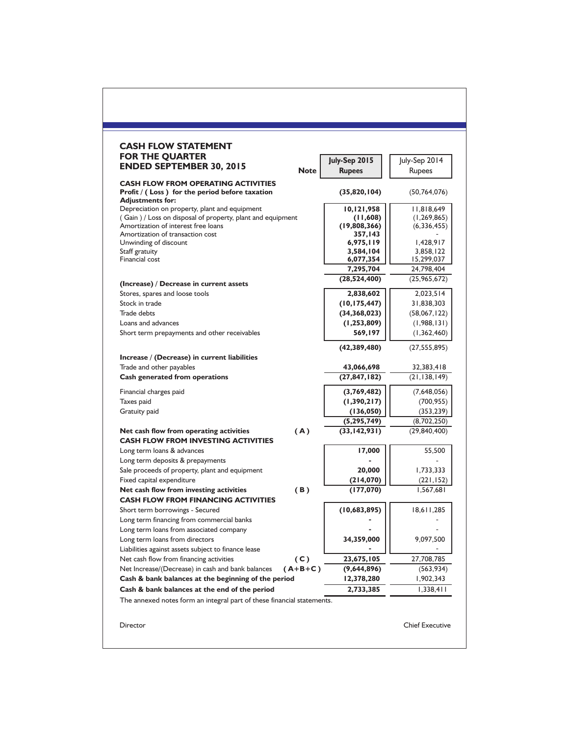| <b>FOR THE QUARTER</b><br><b>ENDED SEPTEMBER 30, 2015</b>                                                               | <b>Note</b> | July-Sep 2015<br><b>Rupees</b> | July-Sep 2014<br>Rupees |
|-------------------------------------------------------------------------------------------------------------------------|-------------|--------------------------------|-------------------------|
| <b>CASH FLOW FROM OPERATING ACTIVITIES</b><br>Profit / (Loss) for the period before taxation<br><b>Adjustments for:</b> |             | (35,820,104)                   | (50, 764, 076)          |
| Depreciation on property, plant and equipment                                                                           |             | 10,121,958                     | 11,818,649              |
| (Gain) / Loss on disposal of property, plant and equipment                                                              |             | (11,608)                       | (1, 269, 865)           |
| Amortization of interest free loans                                                                                     |             | (19,808,366)                   | (6, 336, 455)           |
| Amortization of transaction cost<br>Unwinding of discount                                                               |             | 357.143<br>6,975,119           | 1,428,917               |
| Staff gratuity                                                                                                          |             | 3,584,104                      | 3,858,122               |
| Financial cost                                                                                                          |             | 6,077,354                      | 15,299,037              |
|                                                                                                                         |             | 7,295,704                      | 24,798,404              |
| (Increase) / Decrease in current assets                                                                                 |             | (28,524,400)                   | (25, 965, 672)          |
| Stores, spares and loose tools                                                                                          |             | 2,838,602                      | 2,023,514               |
| Stock in trade                                                                                                          |             | (10, 175, 447)                 | 31,838,303              |
| Trade debts                                                                                                             |             | (34, 368, 023)                 | (58,067,122)            |
| Loans and advances                                                                                                      |             | (1, 253, 809)                  | (1,988,131)             |
| Short term prepayments and other receivables                                                                            |             | 569,197                        | (1,362,460)             |
|                                                                                                                         |             | (42, 389, 480)                 | (27, 555, 895)          |
| Increase / (Decrease) in current liabilities                                                                            |             |                                |                         |
| Trade and other payables                                                                                                |             | 43,066,698                     | 32,383,418              |
| Cash generated from operations                                                                                          |             | (27, 847, 182)                 | (21, 138, 149)          |
| Financial charges paid                                                                                                  |             | (3,769,482)                    | (7,648,056)             |
| Taxes paid                                                                                                              |             | (1,390,217)                    | (700, 955)              |
| Gratuity paid                                                                                                           |             | (136,050)                      | (353, 239)              |
|                                                                                                                         |             | (5,295,749)                    | (8,702,250)             |
| Net cash flow from operating activities<br><b>CASH FLOW FROM INVESTING ACTIVITIES</b>                                   | (A)         | (33, 142, 931)                 | (29, 840, 400)          |
| Long term loans & advances                                                                                              |             | 17,000                         | 55,500                  |
| Long term deposits & prepayments                                                                                        |             |                                |                         |
| Sale proceeds of property, plant and equipment                                                                          |             | 20,000                         | 1,733,333               |
| Fixed capital expenditure                                                                                               |             | (214,070)                      | (221, 152)              |
| Net cash flow from investing activities<br><b>CASH FLOW FROM FINANCING ACTIVITIES</b>                                   | (B)         | (177,070)                      | 1,567,681               |
| Short term borrowings - Secured                                                                                         |             | (10,683,895)                   | 18,611,285              |
| Long term financing from commercial banks                                                                               |             |                                |                         |
| Long term loans from associated company                                                                                 |             |                                |                         |
| Long term loans from directors                                                                                          |             | 34,359,000                     | 9,097,500               |
| Liabilities against assets subject to finance lease                                                                     |             |                                |                         |
| Net cash flow from financing activities                                                                                 | (C)         | 23,675,105                     | 27,708,785              |
| Net Increase/(Decrease) in cash and bank balances                                                                       | $(A+B+C)$   | (9,644,896)                    | (563, 934)              |
| Cash & bank balances at the beginning of the period                                                                     |             | 12,378,280                     | 1,902,343               |
| Cash & bank balances at the end of the period<br>The annexed notes form an integral part of these financial statements. |             | 2,733,385                      | 1,338,411               |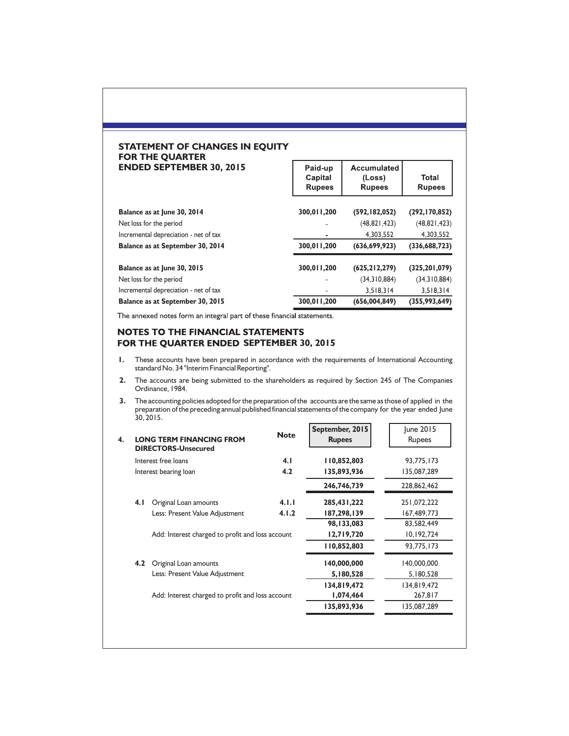#### **STATEMENT OF CHANGES IN EQUITY FOR THE QUARTER ENDED SEPTEMBER 30, 2015**

| <b>ENDED SEPTEMBER 30, 2015</b>       | Paid-up<br>Capital<br><b>Rupees</b> | Accumulated<br>(Loss)<br><b>Rupees</b> | <b>Total</b><br><b>Rupees</b> |
|---------------------------------------|-------------------------------------|----------------------------------------|-------------------------------|
| Balance as at June 30, 2014           | 300,011,200                         | (592, 182, 052)                        | (292, 170, 852)               |
| Net loss for the period               |                                     | (48,821,423)                           | (48,821,423)                  |
| Incremental depreciation - net of tax |                                     | 4,303,552                              | 4,303,552                     |
| Balance as at September 30, 2014      | 300,011,200                         | (636, 699, 923)                        | (336, 688, 723)               |
| Balance as at June 30, 2015           | 300,011,200                         | (625, 212, 279)                        | (325, 201, 079)               |
| Net loss for the period               |                                     | (34,310,884)                           | (34,310,884)                  |
| Incremental depreciation - net of tax |                                     | 3,518,314                              | 3,518,314                     |
| Balance as at September 30, 2015      | 300,011,200                         | (656, 004, 849)                        | (355,993,649)                 |

The annexed notes form an integral part of these financial statements.

## NOTES TO THE FINANCIAL STATEMENTS **FOR THE QUARTER ENDED SEPTEMBER 30, 2015**

- **1.** These accounts have been prepared in accordance with the requirements of International Accounting standard No. 34 "Interim Financial Reporting".
- **2.** The accounts are being submitted to the shareholders as required by Section 245 of The Companies Ordinance, 1984.
- **3.** The accounting policies adopted for the preparation of the accounts are the same as those of applied in the preparation of the preceding annual published financial statements of the company for the year ended June 30, 2015.

|     | <b>LONG TERM FINANCING FROM</b><br><b>DIRECTORS-Unsecured</b> | <b>Note</b> | September, 2015<br><b>Rupees</b> | June 2015<br>Rupees |
|-----|---------------------------------------------------------------|-------------|----------------------------------|---------------------|
|     | Interest free loans                                           | 4.1         | 110,852,803                      | 93,775,173          |
|     | Interest bearing loan                                         | 4.2         | 135,893,936                      | 135,087,289         |
|     |                                                               |             | 246,746,739                      | 228,862,462         |
| 4.1 | Original Loan amounts                                         | 4.1.1       | 285,431,222                      | 251,072,222         |
|     | Less: Present Value Adjustment                                | 4.1.2       | 187,298,139                      | 167,489,773         |
|     |                                                               |             | 98,133,083                       | 83,582,449          |
|     | Add: Interest charged to profit and loss account              |             | 12,719,720                       | 10,192,724          |
|     |                                                               |             | 110,852,803                      | 93,775,173          |
| 4.2 | Original Loan amounts                                         |             | 140,000,000                      | 140,000,000         |
|     | Less: Present Value Adjustment                                |             | 5,180,528                        | 5,180,528           |
|     |                                                               |             | 134,819,472                      | 134,819,472         |
|     | Add: Interest charged to profit and loss account              |             | 1,074,464                        | 267,817             |
|     |                                                               |             | 135,893,936                      | 135,087,289         |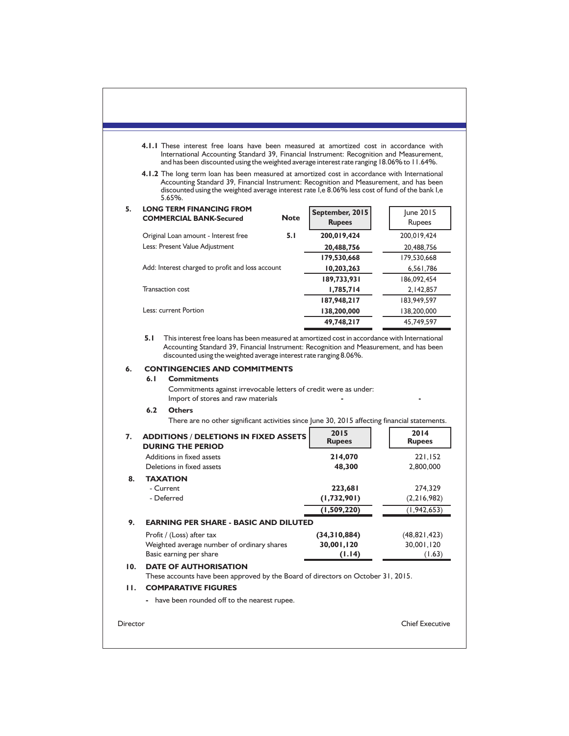|     | 4.1.1 These interest free loans have been measured at amortized cost in accordance with<br>International Accounting Standard 39, Financial Instrument: Recognition and Measurement,<br>and has been discounted using the weighted average interest rate ranging 18.06% to 11.64%.                                 |             |                                                                    |                       |
|-----|-------------------------------------------------------------------------------------------------------------------------------------------------------------------------------------------------------------------------------------------------------------------------------------------------------------------|-------------|--------------------------------------------------------------------|-----------------------|
|     | <b>4.1.2</b> The long term loan has been measured at amortized cost in accordance with International<br>Accounting Standard 39, Financial Instrument: Recognition and Measurement, and has been<br>discounted using the weighted average interest rate I, e 8.06% less cost of fund of the bank I, e<br>$5.65%$ . |             |                                                                    |                       |
| 5.  | <b>LONG TERM FINANCING FROM</b><br><b>COMMERCIAL BANK-Secured</b>                                                                                                                                                                                                                                                 | <b>Note</b> | September, 2015<br><b>Rupees</b>                                   | June 2015<br>Rupees   |
|     | Original Loan amount - Interest free                                                                                                                                                                                                                                                                              | 5.1         | 200,019,424                                                        | 200,019,424           |
|     | Less: Present Value Adjustment                                                                                                                                                                                                                                                                                    |             | 20,488,756                                                         | 20,488,756            |
|     |                                                                                                                                                                                                                                                                                                                   |             | 179,530,668                                                        | 179,530,668           |
|     | Add: Interest charged to profit and loss account                                                                                                                                                                                                                                                                  |             | 10,203,263                                                         | 6,561,786             |
|     |                                                                                                                                                                                                                                                                                                                   |             | 189,733,931                                                        | 186,092,454           |
|     | <b>Transaction cost</b>                                                                                                                                                                                                                                                                                           |             | 1,785,714                                                          | 2,142,857             |
|     |                                                                                                                                                                                                                                                                                                                   |             | 187,948,217                                                        | 183,949,597           |
|     | Less: current Portion                                                                                                                                                                                                                                                                                             |             | 138,200,000                                                        | 138,200,000           |
|     |                                                                                                                                                                                                                                                                                                                   |             | 49,748,217                                                         | 45,749,597            |
| 6.  | <b>CONTINGENCIES AND COMMITMENTS</b><br>6.1<br><b>Commitments</b>                                                                                                                                                                                                                                                 |             | discounted using the weighted average interest rate ranging 8.06%. |                       |
|     | Commitments against irrevocable letters of credit were as under:<br>Import of stores and raw materials<br>6.2<br><b>Others</b>                                                                                                                                                                                    |             |                                                                    |                       |
|     | There are no other significant activities since June 30, 2015 affecting financial statements.                                                                                                                                                                                                                     |             |                                                                    |                       |
| 7.  | <b>ADDITIONS / DELETIONS IN FIXED ASSETS</b><br><b>DURING THE PERIOD</b>                                                                                                                                                                                                                                          |             | 2015<br><b>Rupees</b>                                              | 2014<br><b>Rupees</b> |
|     | Additions in fixed assets                                                                                                                                                                                                                                                                                         |             | 214,070                                                            | 221,152               |
|     | Deletions in fixed assets                                                                                                                                                                                                                                                                                         |             | 48,300                                                             | 2,800,000             |
| 8.  | <b>TAXATION</b>                                                                                                                                                                                                                                                                                                   |             |                                                                    |                       |
|     | - Current                                                                                                                                                                                                                                                                                                         |             | 223,681                                                            | 274,329               |
|     | - Deferred                                                                                                                                                                                                                                                                                                        |             | (1,732,901)                                                        | (2, 216, 982)         |
|     |                                                                                                                                                                                                                                                                                                                   |             | (1,509,220)                                                        | (1, 942, 653)         |
| 9.  | <b>EARNING PER SHARE - BASIC AND DILUTED</b>                                                                                                                                                                                                                                                                      |             |                                                                    |                       |
|     | Profit / (Loss) after tax                                                                                                                                                                                                                                                                                         |             | (34,310,884)                                                       | (48, 821, 423)        |
|     | Weighted average number of ordinary shares                                                                                                                                                                                                                                                                        |             | 30,001,120                                                         | 30,001,120            |
| 10. | Basic earning per share<br><b>DATE OF AUTHORISATION</b>                                                                                                                                                                                                                                                           |             | (1.14)                                                             | (1.63)                |
|     | These accounts have been approved by the Board of directors on October 31, 2015.                                                                                                                                                                                                                                  |             |                                                                    |                       |
| н.  | <b>COMPARATIVE FIGURES</b>                                                                                                                                                                                                                                                                                        |             |                                                                    |                       |
|     | have been rounded off to the nearest rupee.                                                                                                                                                                                                                                                                       |             |                                                                    |                       |